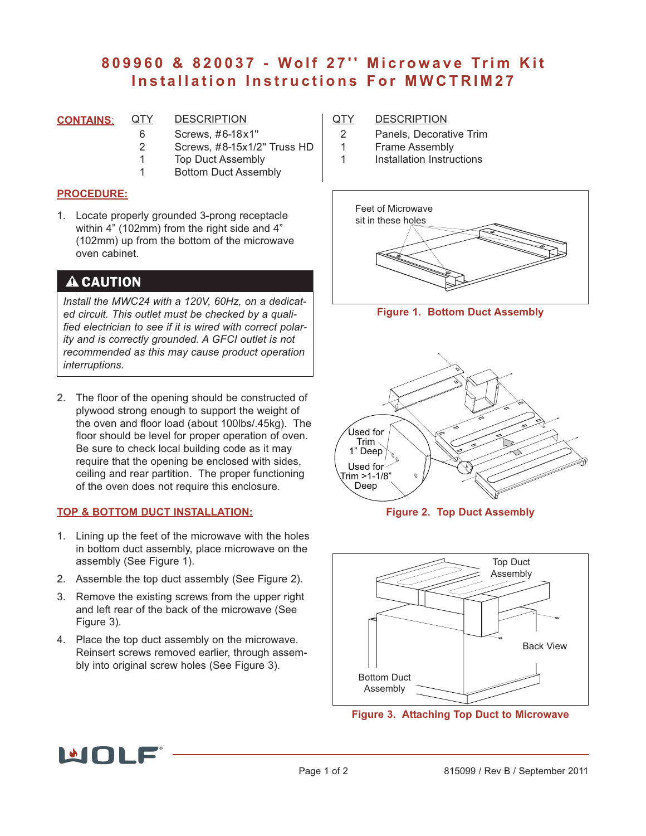# **809960 & 820037 - Wolf 27'' Microwave Trim Kit Installation Instructions For MWCTRIM27**

- **CONTAINS**: QTY DESCRIPTION
	- 6 Screws, #6-18x1"<br>2 Screws. #8-15x1/2
		- 2 Screws, #8-15x1/2'' Truss HD
	- 1 Top Duct Assembly
	- 1 Bottom Duct Assembly

#### **PROCEDURE:**

1. Locate properly grounded 3-prong receptacle within 4" (102mm) from the right side and 4" (102mm) up from the bottom of the microwave oven cabinet.

### **A CAUTION**

*Install the MWC24 with a 120V, 60Hz, on a dedicated circuit. This outlet must be checked by a qualified electrician to see if it is wired with correct polarity and is correctly grounded. A GFCI outlet is not recommended as this may cause product operation interruptions.*

2. The floor of the opening should be constructed of plywood strong enough to support the weight of the oven and floor load (about 100lbs/.45kg). The floor should be level for proper operation of oven. Be sure to check local building code as it may require that the opening be enclosed with sides, ceiling and rear partition. The proper functioning of the oven does not require this enclosure.

#### **TOP & BOTTOM DUCT INSTALLATION:**

- 1. Lining up the feet of the microwave with the holes in bottom duct assembly, place microwave on the assembly (See Figure 1).
- 2. Assemble the top duct assembly (See Figure 2).
- 3. Remove the existing screws from the upper right and left rear of the back of the microwave (See Figure 3).
- 4. Place the top duct assembly on the microwave. Reinsert screws removed earlier, through assembly into original screw holes (See Figure 3).

#### QTY DESCRIPTION

- 2 Panels, Decorative Trim<br>1 Frame Assembly
- **Frame Assembly**
- 1 Installation Instructions



**Figure 1. Bottom Duct Assembly**



**Figure 2. Top Duct Assembly**



**Figure 3. Attaching Top Duct to Microwave**

# MUI E